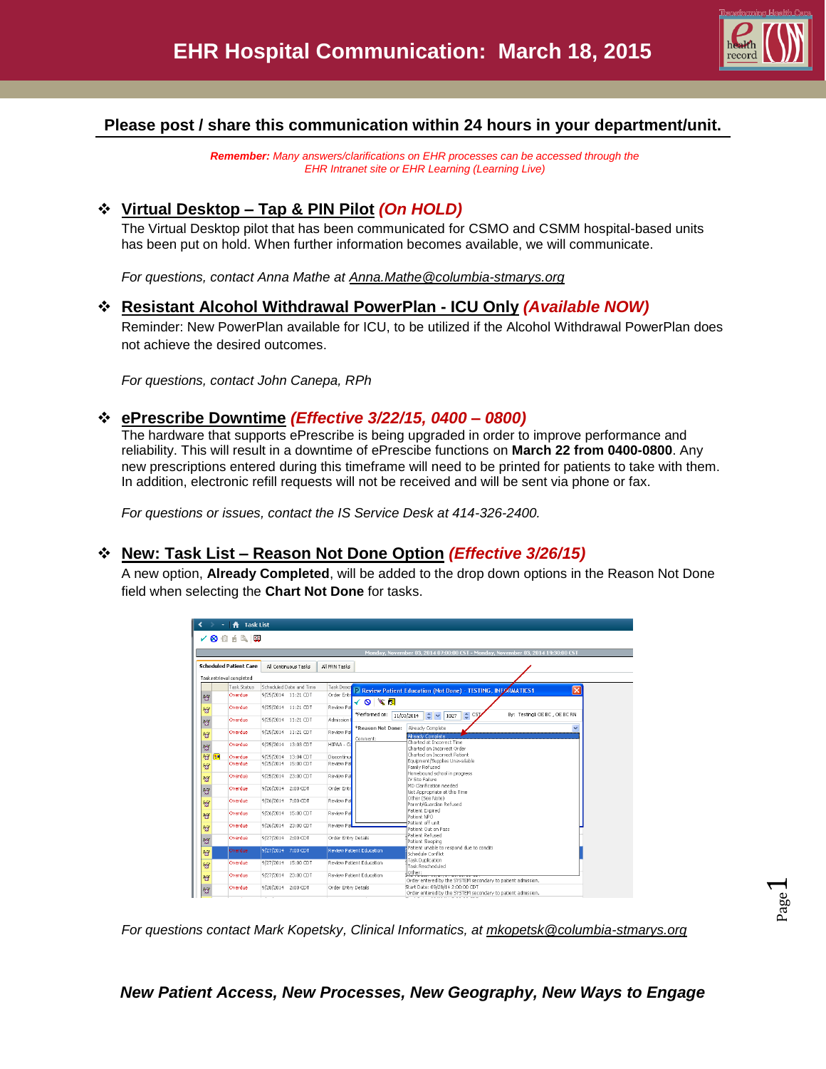

# **Please post / share this communication within 24 hours in your department/unit.**

*Remember: Many answers/clarifications on EHR processes can be accessed through the EHR Intranet site or EHR Learning (Learning Live)*

# **Virtual Desktop – Tap & PIN Pilot** *(On HOLD)*

The Virtual Desktop pilot that has been communicated for CSMO and CSMM hospital-based units has been put on hold. When further information becomes available, we will communicate.

*For questions, contact Anna Mathe at Anna.Mathe@columbia-stmarys.org*

## **Resistant Alcohol Withdrawal PowerPlan - ICU Only** *(Available NOW)*

Reminder: New PowerPlan available for ICU, to be utilized if the Alcohol Withdrawal PowerPlan does not achieve the desired outcomes.

*For questions, contact John Canepa, RPh*

## **ePrescribe Downtime** *(Effective 3/22/15, 0400 – 0800)*

The hardware that supports ePrescribe is being upgraded in order to improve performance and reliability. This will result in a downtime of ePrescibe functions on **March 22 from 0400-0800**. Any new prescriptions entered during this timeframe will need to be printed for patients to take with them. In addition, electronic refill requests will not be received and will be sent via phone or fax.

*For questions or issues, contact the IS Service Desk at 414-326-2400.*

## **New: Task List – Reason Not Done Option** *(Effective 3/26/15)*

A new option, **Already Completed**, will be added to the drop down options in the Reason Not Done field when selecting the **Chart Not Done** for tasks.

|                               |                          |                         |  |                     |                          | Monday, November 03, 2014 07:00:00 CST - Monday, November 03, 2014 19:30:00 CST                 |                              |
|-------------------------------|--------------------------|-------------------------|--|---------------------|--------------------------|-------------------------------------------------------------------------------------------------|------------------------------|
| <b>Scheduled Patient Care</b> |                          | All Continuous Tasks    |  | All PRN Tasks       |                          |                                                                                                 |                              |
|                               | Task retrieval completed |                         |  |                     |                          |                                                                                                 |                              |
|                               | Task Status              | Scheduled Date and Time |  | <b>Task Descri</b>  |                          |                                                                                                 | $\vert x \vert$              |
| 台                             | Overdue                  | 9/25/2014 11:21 CDT     |  | Order Entr          | √◙≋⊠                     | Review Patient Education (Not Done) - TESTING, INFORMATICS1                                     |                              |
| 智                             | Overdue                  | 9/25/2014 11:21 CDT     |  | Review Pa           | *Performed on:           | $\div$ CSJ<br>$\hat{z}$ $\sim$<br>11/03/2014<br>1027                                            | By: Testing1 OE BC, OE BC RN |
| $\mathbf{G}$                  | Overdue                  | 9/25/2014 11:21 CDT     |  | Admission           | *Reason Not Done:        | Already Complete                                                                                | v                            |
| 橙                             | Overdue                  | 9/25/2014 11:21 CDT     |  | Review Pa           | Comment:                 | Already Complete                                                                                |                              |
| ŏ                             | Overdue                  | 9/25/2014 13:03 CDT     |  | HIPAA - Co          |                          | Charted at Incorrect Time<br>Charted on Incorrect Order                                         |                              |
| 智<br><b>B</b>                 | Overdue                  | 9/25/2014 13:04 CDT     |  | Discontinue         |                          | Charted on Incorrect Patient<br>Equipment/Supplies Unavailable                                  |                              |
| 贺                             | Overdue                  | 9/25/2014 15:00 CDT     |  | Review Pal          |                          | Family Refused                                                                                  |                              |
| 管                             | Overdue                  | 9/25/2014 23:00 CDT     |  | Review Pal          |                          | Homebound school in progress<br>IV Site Failure                                                 |                              |
| ಕ                             | Overdue                  | 9/26/2014 2:00 CDT      |  | Order Entr          |                          | MD Clarification needed<br>Not Appropriate at this Time                                         |                              |
| ිලි                           | Overdue                  | 9/26/2014 7:00 CDT      |  | Review Pa           |                          | Other (See Note)<br>Parent/Guardian Refused                                                     |                              |
| 稻                             | Overdue                  | 9/26/2014 15:00 CDT     |  | Review Pal          |                          | Patient Expired<br>Patient NPO                                                                  |                              |
| 智                             | Overdue                  | 9/26/2014 23:00 CDT     |  | Review Pa           |                          | Patient off unit<br>Patient Out on Pass                                                         |                              |
| 稻                             | Overdue                  | 9/27/2014 2:00 CDT      |  | Order Entry Details |                          | Patient Refused<br>Patient Sleeping                                                             |                              |
| age                           | Overdue                  | 9/27/2014 7:00 CDT      |  |                     | Review Patient Education | Patient unable to respond due to conditi<br>Schedule Conflict                                   |                              |
| 管                             | Overdue                  | 9/27/2014 15:00 CDT     |  |                     | Review Patient Education | Task Duplication<br>Task Rescheduled                                                            |                              |
| 橙                             | Overdue                  | 9/27/2014 23:00 CDT     |  |                     | Review Patient Education | Other:<br>Order entered by the SYSTEM secondary to patient admission.                           |                              |
| Ó                             | Overdue                  | 9/28/2014 2:00 CDT      |  | Order Entry Details |                          | Start Date: 09/28/14 2:00:00 CDT<br>Order entered by the SYSTEM secondary to patient admission. |                              |
|                               |                          |                         |  |                     |                          |                                                                                                 |                              |

*For questions contact Mark Kopetsky, Clinical Informatics, at [mkopetsk@columbia-stmarys.org](mailto:mkopetsk@columbia-stmarys.org)*

*New Patient Access, New Processes, New Geography, New Ways to Engage*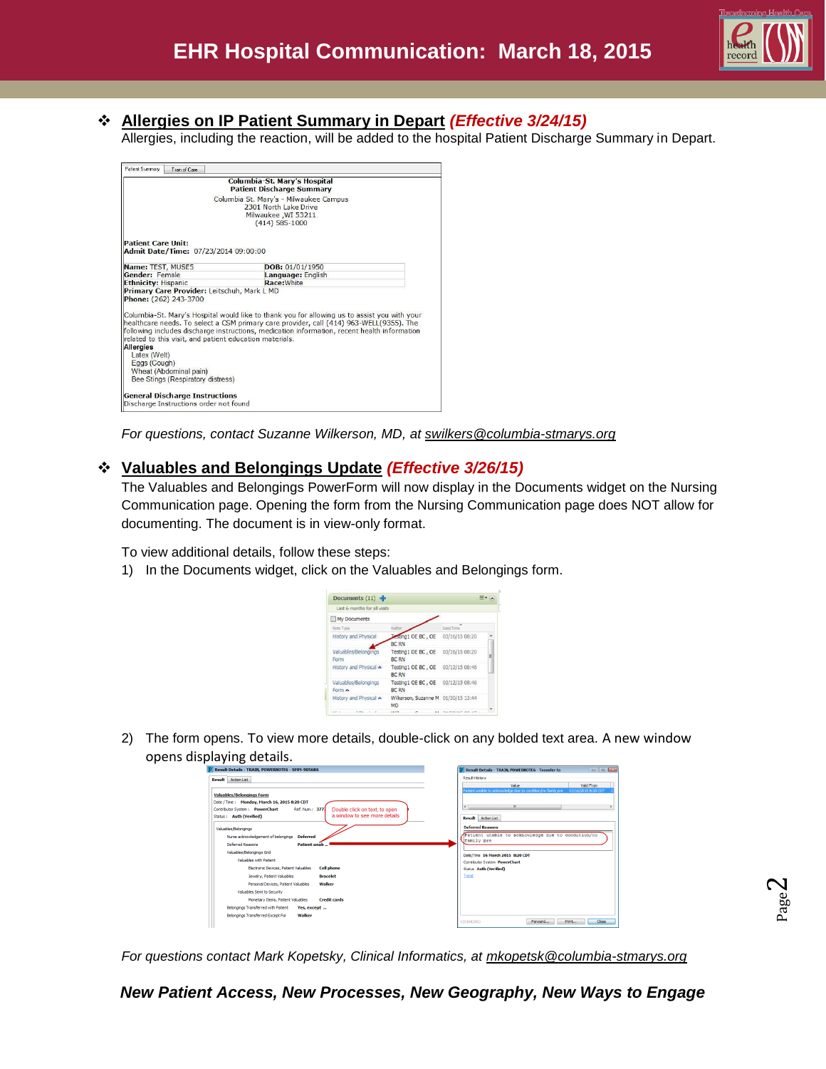

# **Allergies on IP Patient Summary in Depart** *(Effective 3/24/15)*

Allergies, including the reaction, will be added to the hospital Patient Discharge Summary in Depart.

| Patient Summary<br>Tran of Care                                   |                                                                                              |
|-------------------------------------------------------------------|----------------------------------------------------------------------------------------------|
|                                                                   | Columbia-St. Mary's Hospital<br><b>Patient Discharge Summary</b>                             |
|                                                                   | Columbia St. Mary's - Milwaukee Campus                                                       |
|                                                                   | 2301 North Lake Drive                                                                        |
|                                                                   | Milwaukee, WI 53211                                                                          |
|                                                                   | $(414) 585 - 1000$                                                                           |
|                                                                   |                                                                                              |
| <b>Patient Care Unit:</b><br>Admit Date/Time: 07/23/2014 09:00:00 |                                                                                              |
| Name: TEST, MUSE5                                                 | DOB: 01/01/1950                                                                              |
| Gender: Female                                                    | Language: English                                                                            |
| <b>Ethnicity: Hispanic</b>                                        | Race: White                                                                                  |
| Primary Care Provider: Leitschuh, Mark L MD                       |                                                                                              |
| Phone: (262) 243-3700                                             |                                                                                              |
|                                                                   | Columbia-St. Mary's Hospital would like to thank you for allowing us to assist you with your |
|                                                                   | healthcare needs. To select a CSM primary care provider, call (414) 963-WELL(9355). The      |
|                                                                   | following includes discharge instructions, medication information, recent health information |
| related to this visit, and patient education materials.           |                                                                                              |
| <b>Allergies</b>                                                  |                                                                                              |
| Latex (Welt)                                                      |                                                                                              |
| Eggs (Cough)                                                      |                                                                                              |
| Wheat (Abdominal pain)<br>Bee Stings (Respiratory distress)       |                                                                                              |
|                                                                   |                                                                                              |
| <b>General Discharge Instructions</b>                             |                                                                                              |
|                                                                   |                                                                                              |

*For questions, contact Suzanne Wilkerson, MD, at swilkers@columbia-stmarys.org*

#### **Valuables and Belongings Update** *(Effective 3/26/15)*

The Valuables and Belongings PowerForm will now display in the Documents widget on the Nursing Communication page. Opening the form from the Nursing Communication page does NOT allow for documenting. The document is in view-only format.

To view additional details, follow these steps:

1) In the Documents widget, click on the Valuables and Belongings form.



2) The form opens. To view more details, double-click on any bolded text area. A new window opens displaying details.

| P Result Details - TRAIN, POWERNOTE6 - SMM-905686                                  | $\Box$ $\Box$<br><b>Result Details - TRAIN, POWERNOTE6 - Transfer to</b>            |
|------------------------------------------------------------------------------------|-------------------------------------------------------------------------------------|
| Result Action List                                                                 | Result History                                                                      |
|                                                                                    | Value<br>Valid From                                                                 |
| <b>Valuables/Belongings Form</b>                                                   | Patient unable to admoviedge due to condition/no family pre-<br>03/16/2015 8:20 CDT |
| Date / Time: Monday, March 16, 2015 8:20 CDT                                       |                                                                                     |
| Contributor System: PowerChart<br>Ref. Num.: 3771<br>Double click on text, to open | $\epsilon$<br>m.                                                                    |
| a window to see more details.<br>Status: Auth (Verified)                           | <b>Result</b><br><b>Action List</b>                                                 |
| Valuables/Belongings                                                               | <b>Deferred Reasons</b>                                                             |
| Nurse admowledgement of belongings<br><b>Deferred</b>                              | Patient unable to acknowledge due to condition/no                                   |
| Deferred Reasons<br><b>Patient unab</b>                                            | family pre                                                                          |
| Valuables/Belongings Grid                                                          | Date/Time 16 March 2015 8:20 CDT                                                    |
| Valuables with Patient                                                             | <b>Contributor System PowerChart</b>                                                |
| <b>Cell phone</b><br>Electronic Devices, Patient Valuables                         | <b>Status Auth (Verified)</b>                                                       |
| Jewelry, Patient Valuables<br><b>Bracelet</b>                                      | Trend                                                                               |
| Personal Devices, Patient Valuables<br><b>Walker</b>                               |                                                                                     |
| Valuables Sent to Security                                                         |                                                                                     |
| <b>Credit cards</b><br>Monetary Items, Patient Valuables                           |                                                                                     |
| Belongings Transferred with Patient<br>Yes, except                                 |                                                                                     |
|                                                                                    |                                                                                     |
| Walker<br>Belongings Transferred Except For                                        | Print<br>Close<br>Forward<br>1281842053                                             |
|                                                                                    |                                                                                     |

*For questions contact Mark Kopetsky, Clinical Informatics, at [mkopetsk@columbia-stmarys.org](mailto:mkopetsk@columbia-stmarys.org)*

*New Patient Access, New Processes, New Geography, New Ways to Engage*